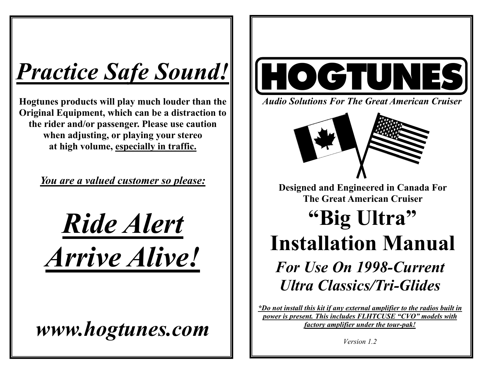# *Practice Safe Sound!*

**Hogtunes products will play much louder than the Original Equipment, which can be a distraction to the rider and/or passenger. Please use caution when adjusting, or playing your stereo at high volume, especially in traffic.** 

*You are a valued customer so please:*

*Ride Alert Arrive Alive!*

*www.hogtunes.com* 



*Audio Solutions For The Great American Cruiser* 



**Designed and Engineered in Canada For The Great American Cruiser** 

## **"Big Ultra" Installation Manual**  *For Use On 1998-Current Ultra Classics/Tri-Glides*

*\*Do not install this kit if any external amplifier to the radios built in power is present. This includes FLHTCUSE "CVO" models with factory amplifier under the tour-pak!*

*Version 1.2*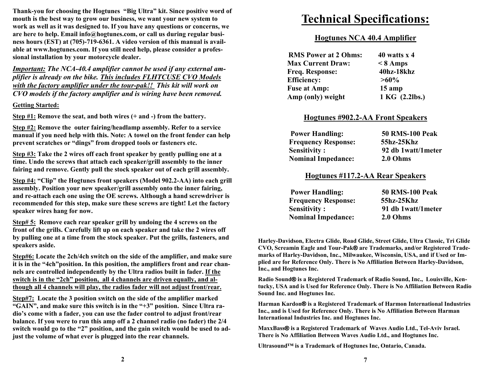**Thank-you for choosing the Hogtunes "Big Ultra" kit. Since positive word of mouth is the best way to grow our business, we want your new system to work as well as it was designed to. If you have any questions or concerns, we are here to help. Email info@hogtunes.com, or call us during regular business hours (EST) at (705)-719-6361. A video version of this manual is available at www.hogtunes.com. If you still need help, please consider a professional installation by your motorcycle dealer.** 

*Important: The NCA-40.4 amplifier cannot be used if any external amplifier is already on the bike. This includes FLHTCUSE CVO Models with the factory amplifier under the tour-pak!! This kit will work on CVO models if the factory amplifier and is wiring have been removed.* 

**Getting Started:**

**Step #1: Remove the seat, and both wires (+ and -) from the battery.** 

**Step #2: Remove the outer fairing/headlamp assembly. Refer to a service manual if you need help with this. Note: A towel on the front fender can help prevent scratches or "dings" from dropped tools or fasteners etc.** 

**Step #3: Take the 2 wires off each front speaker by gently pulling one at a time. Undo the screws that attach each speaker/grill assembly to the inner fairing and remove. Gently pull the stock speaker out of each grill assembly.** 

**Step #4: "Clip" the Hogtunes front speakers (Model 902.2-AA) into each grill assembly. Position your new speaker/grill assembly onto the inner fairing, and re-attach each one using the OE screws. Although a hand screwdriver is recommended for this step, make sure these screws are tight! Let the factory speaker wires hang for now.** 

**Step# 5: Remove each rear speaker grill by undoing the 4 screws on the front of the grills. Carefully lift up on each speaker and take the 2 wires off by pulling one at a time from the stock speaker. Put the grills, fasteners, and speakers aside.** 

**Step#6: Locate the 2ch/4ch switch on the side of the amplifier, and make sure it is in the "4ch"position. In this position, the amplifiers front and rear channels are controlled independently by the Ultra radios built in fader. If the switch is in the "2ch" position, all 4 channels are driven equally, and although all 4 channels will play, the radios fader will not adjust front/rear.**

**Step#7: Locate the 3 position switch on the side of the amplifier marked "GAIN", and make sure this switch is in the "+3" position. Since Ultra radio's come with a fader, you can use the fader control to adjust front/rear balance. If you were to run this amp off a 2 channel radio (no fader) the 2/4 switch would go to the "2" position, and the gain switch would be used to adjust the volume of what ever is plugged into the rear channels.** 

## **Technical Specifications:**

## **Hogtunes NCA 40.4 Amplifier**

| <b>RMS Power at 2 Ohms:</b> | 40 watts $x$ 4 |
|-----------------------------|----------------|
| <b>Max Current Draw:</b>    | $\leq 8$ Amps  |
| <b>Freq. Response:</b>      | 40hz-18khz     |
| <b>Efficiency:</b>          | $>60\%$        |
| <b>Fuse at Amp:</b>         | $15$ amp       |
| Amp (only) weight           | 1 KG (2.2lbs.) |

## **Hogtunes #902.2-AA Front Speakers**

| <b>Power Handling:</b>     | <b>50 RMS-100 Peak</b> |
|----------------------------|------------------------|
| <b>Frequency Response:</b> | 55hz-25Khz             |
| <b>Sensitivity:</b>        | 92 db 1watt/1meter     |
| <b>Nominal Impedance:</b>  | 2.0 Ohms               |

## **Hogtunes #117.2-AA Rear Speakers**

| <b>Power Handling:</b>     | <b>50 RMS-100 Peak</b> |
|----------------------------|------------------------|
| <b>Frequency Response:</b> | 55hz-25Khz             |
| <b>Sensitivity:</b>        | 91 db 1watt/1meter     |
| <b>Nominal Impedance:</b>  | 2.0 Ohms               |

**Harley-Davidson, Electra Glide, Road Glide, Street Glide, Ultra Classic, Tri Glide CVO, Screamin Eagle and Tour-Pak® are Trademarks, and/or Registered Trademarks of Harley-Davidson, Inc., Milwaukee, Wisconsin, USA, and if Used or Implied are for Reference Only. There is No Affiliation Between Harley-Davidson, Inc., and Hogtunes Inc.** 

**Radio Sound® is a Registered Trademark of Radio Sound, Inc., Louisville, Kentucky, USA and is Used for Reference Only. There is No Affiliation Between Radio Sound Inc. and Hogtunes Inc.** 

**Harman Kardon® is a Registered Trademark of Harmon International Industries Inc., and is Used for Reference Only. There is No Affiliation Between Harman International Industries Inc. and Hogtunes Inc.** 

**MaxxBass ® is a Registered Trademark of Waves Audio Ltd., Tel-Aviv Israel. There is No Affiliation Between Waves Audio Ltd., and Hogtunes Inc.** 

**Ultrasound™ is a Trademark of Hogtunes Inc, Ontario, Canada.**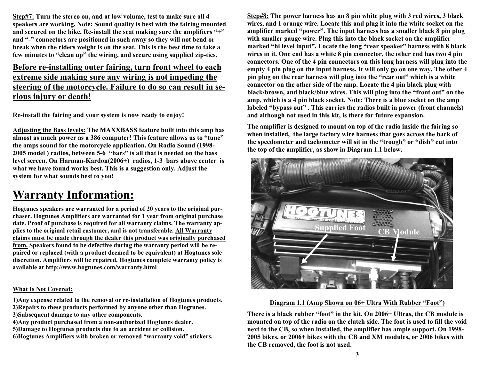**Step#7: Turn the stereo on, and at low volume, test to make sure all 4 speakers are working. Note: Sound quality is best with the fairing mounted and secured on the bike. Re-install the seat making sure the amplifiers "+" and "-" connectors are positioned in such away so they will not bend or break when the riders weight is on the seat. This is the best time to take a few minutes to "clean up" the wiring, and secure using supplied zip-ties.** 

## **Before re-installing outer fairing, turn front wheel to each extreme side making sure any wiring is not impeding the steering of the motorcycle. Failure to do so can result in serious injury or death!**

**Re-install the fairing and your system is now ready to enjoy!** 

**Adjusting the Bass levels: The MAXXBASS feature built into this amp has almost as much power as a 386 computer! This feature allows us to "tune" the amps sound for the motorcycle application. On Radio Sound (1998- 2005 model ) radios, between 5-6 "bars" is all that is needed on the bass level screen. On Harman-Kardon(2006+) radios, 1-3 bars above center is what we have found works best. This is a suggestion only. Adjust the system for what sounds best to you!** 

## **Warranty Information:**

**Hogtunes speakers are warranted for a period of 20 years to the original purchaser. Hogtunes Amplifiers are warranted for 1 year from original purchase date. Proof of purchase is required for all warranty claims. The warranty applies to the original retail customer, and is not transferable. All Warranty claims must be made through the dealer this product was originally purchased from. Speakers found to be defective during the warranty period will be repaired or replaced (with a product deemed to be equivalent) at Hogtunes sole discretion. Amplifiers will be repaired. Hogtunes complete warranty policy is available at http://www.hogtunes.com/warranty.html** 

## **What Is Not Covered:**

**1)Any expense related to the removal or re-installation of Hogtunes products. 2)Repairs to these products performed by anyone other than Hogtunes.** 

- **3)Subsequent damage to any other components.**
- **4)Any product purchased from a non-authorized Hogtunes dealer.**

**5)Damage to Hogtunes products due to an accident or collision.** 

**6)Hogtunes Amplifiers with broken or removed "warranty void" stickers.** 

**Step#8: The power harness has an 8 pin white plug with 3 red wires, 3 black wires, and 1 orange wire. Locate this and plug it into the white socket on the amplifier marked "power". The input harness has a smaller black 8 pin plug with smaller gauge wire. Plug this into the black socket on the amplifier marked "hi level input". Locate the long "rear speaker" harness with 8 black wires in it. One end has a white 8 pin connector, the other end has two 4 pin connectors. One of the 4 pin connectors on this long harness will plug into the empty 4 pin plug on the input harness. It will only go on one way. The other 4 pin plug on the rear harness will plug into the "rear out" which is a white connector on the other side of the amp. Locate the 4 pin black plug with black/brown, and black/blue wires. This will plug into the "front out" on the amp, which is a 4 pin black socket. Note: There is a blue socket on the amp labeled "bypass out" . This carries the radios built in power (front channels) and although not used in this kit, is there for future expansion.** 

**The amplifier is designed to mount on top of the radio inside the fairing so when installed, the large factory wire harness that goes across the back of the speedometer and tachometer will sit in the "trough" or "dish" cut into the top of the amplifier, as show in Diagram 1.1 below.** 



## **Diagram 1.1 (Amp Shown on 06+ Ultra With Rubber "Foot")**

**There is a black rubber "foot" in the kit. On 2006+ Ultras, the CB module is mounted on top of the radio on the clutch side. The foot is used to fill the void next to the CB, so when installed, the amplifier has ample support. On 1998- 2005 bikes, or 2006+ bikes with the CB and XM modules, or 2006 bikes with the CB removed, the foot is not used.**